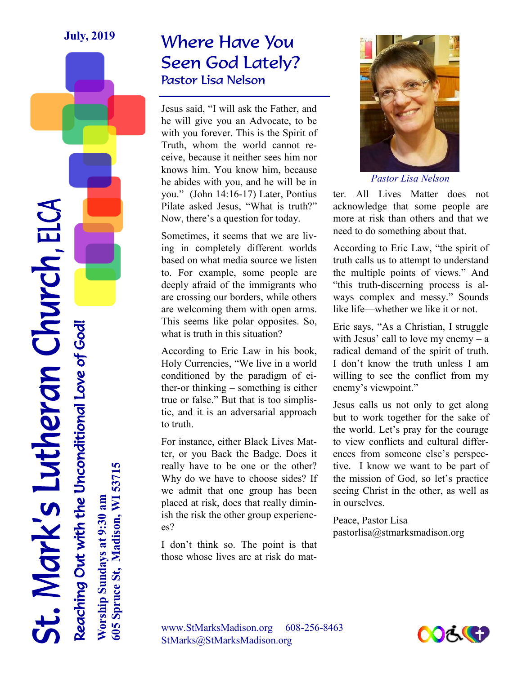### Where Have You Seen God Lately? Pastor Lisa Nelson

Jesus said, "I will ask the Father, and he will give you an Advocate, to be with you forever. This is the Spirit of Truth, whom the world cannot receive, because it neither sees him nor knows him. You know him, because he abides with you, and he will be in you." (John 14:16-17) Later, Pontius Pilate asked Jesus, "What is truth?" Now, there's a question for today.

Sometimes, it seems that we are living in completely different worlds based on what media source we listen to. For example, some people are deeply afraid of the immigrants who are crossing our borders, while others are welcoming them with open arms. This seems like polar opposites. So, what is truth in this situation?

According to Eric Law in his book, Holy Currencies, "We live in a world conditioned by the paradigm of either-or thinking – something is either true or false." But that is too simplistic, and it is an adversarial approach to truth.

For instance, either Black Lives Matter, or you Back the Badge. Does it really have to be one or the other? Why do we have to choose sides? If we admit that one group has been placed at risk, does that really diminish the risk the other group experiences?

I don't think so. The point is that those whose lives are at risk do mat-



*Pastor Lisa Nelson* 

ter. All Lives Matter does not acknowledge that some people are more at risk than others and that we need to do something about that.

According to Eric Law, "the spirit of truth calls us to attempt to understand the multiple points of views." And "this truth-discerning process is always complex and messy." Sounds like life—whether we like it or not.

Eric says, "As a Christian, I struggle with Jesus' call to love my enemy  $- a$ radical demand of the spirit of truth. I don't know the truth unless I am willing to see the conflict from my enemy's viewpoint."

Jesus calls us not only to get along but to work together for the sake of the world. Let's pray for the courage to view conflicts and cultural differences from someone else's perspective. I know we want to be part of the mission of God, so let's practice seeing Christ in the other, as well as in ourselves.

Peace, Pastor Lisa pastorlisa@stmarksmadison.org



Reaching Out with the Unconditional Love of God! **Worship Sundays at 9:30 am** Reaching Out with the Unconditional Love of God! 605 Spruce St, Madison, WI 53715 **605 Spruce St, Madison, WI 53715** Worship Sundays at 9:30 am

St. Mark's Lutheran Church, ELCA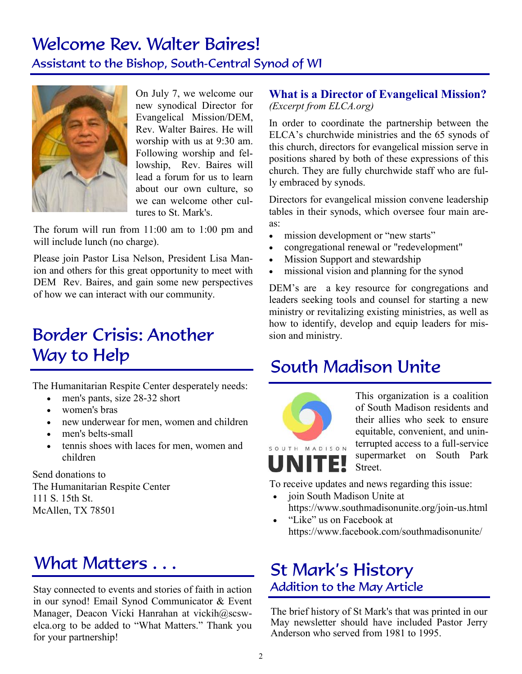# Welcome Rev. Walter Baires!

Assistant to the Bishop, South-Central Synod of WI



On July 7, we welcome our new synodical Director for Evangelical Mission/DEM, Rev. Walter Baires. He will worship with us at 9:30 am. Following worship and fellowship, Rev. Baires will lead a forum for us to learn about our own culture, so we can welcome other cultures to St. Mark's.

The forum will run from 11:00 am to 1:00 pm and will include lunch (no charge).

Please join Pastor Lisa Nelson, President Lisa Manion and others for this great opportunity to meet with DEM Rev. Baires, and gain some new perspectives of how we can interact with our community.

# Border Crisis: Another Way to Help

The Humanitarian Respite Center desperately needs:

- men's pants, size 28-32 short
- women's bras
- new underwear for men, women and children
- men's belts-small
- tennis shoes with laces for men, women and children

Send donations to The Humanitarian Respite Center 111 S. 15th St. McAllen, TX 78501

# What Matters . . . **Exercise 2** St Mark's History

Stay connected to events and stories of faith in action in our synod! Email Synod Communicator & Event Manager, Deacon Vicki Hanrahan at vickih@scswelca.org to be added to "What Matters." Thank you for your partnership!

### **What is a Director of Evangelical Mission?**

*(Excerpt from ELCA.org)*

In order to coordinate the partnership between the ELCA's churchwide ministries and the 65 synods of this church, directors for evangelical mission serve in positions shared by both of these expressions of this church. They are fully churchwide staff who are fully embraced by synods.

Directors for evangelical mission convene leadership tables in their synods, which oversee four main areas:

- mission development or "new starts"
- congregational renewal or "redevelopment"
- Mission Support and stewardship
- missional vision and planning for the synod

DEM's are a key resource for congregations and leaders seeking tools and counsel for starting a new ministry or revitalizing existing ministries, as well as how to identify, develop and equip leaders for mission and ministry.

### South Madison Unite



This organization is a coalition of South Madison residents and their allies who seek to ensure equitable, convenient, and uninterrupted access to a full-service supermarket on South Park Street.

To receive updates and news regarding this issue:

- join South Madison Unite at https://www.southmadisonunite.org/join-us.html
- "Like" us on Facebook at https://www.facebook.com/southmadisonunite/

# Addition to the May Article

The brief history of St Mark's that was printed in our May newsletter should have included Pastor Jerry Anderson who served from 1981 to 1995.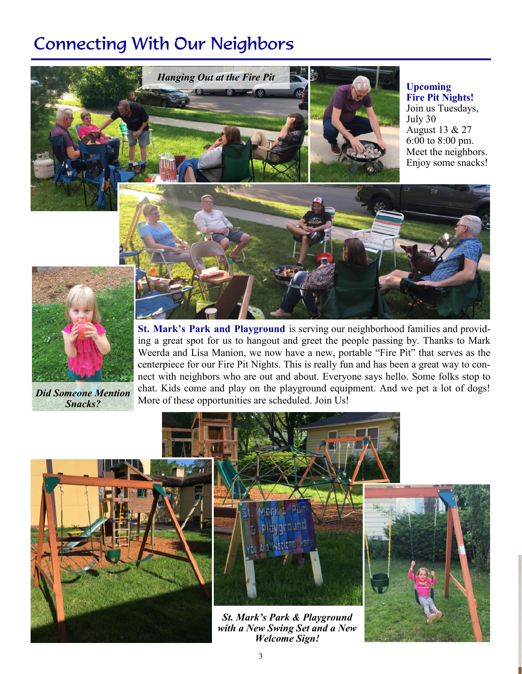### Connecting With Our Neighbors



**Upcoming Fire Pit Nights!** Join us Tuesdays, July 30 August 13 & 27



**St. Mark's Park and Playground** is serving our neighborhood families and providing a great spot for us to hangout and greet the people passing by. Thanks to Mark Weerda and Lisa Manion, we now have a new, portable "Fire Pit" that serves as the centerpiece for our Fire Pit Nights. This is really fun and has been a great way to connect with neighbors who are out and about. Everyone says hello. Some folks stop to chat. Kids come and play on the playground equipment. And we pet a lot of dogs! **Did Someone Mention** chal. Nus come and play on the playground equip<br>More of these opportunities are scheduled. Join Us!

*Snacks?*





*St. Mark's Park & Playground with a New Swing Set and a New Welcome Sign!*

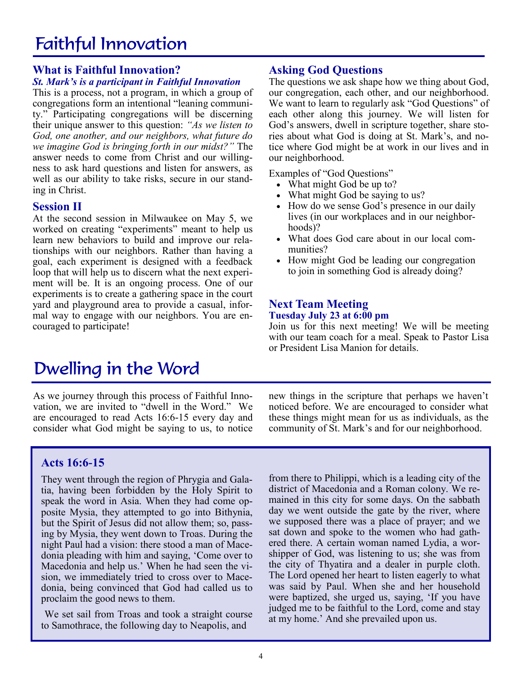# Faithful Innovation

#### **What is Faithful Innovation?**

#### *St. Mark's is a participant in Faithful Innovation*

This is a process, not a program, in which a group of congregations form an intentional "leaning community." Participating congregations will be discerning their unique answer to this question: *"As we listen to God, one another, and our neighbors, what future do we imagine God is bringing forth in our midst?"* The answer needs to come from Christ and our willingness to ask hard questions and listen for answers, as well as our ability to take risks, secure in our standing in Christ.

#### **Session II**

At the second session in Milwaukee on May 5, we worked on creating "experiments" meant to help us learn new behaviors to build and improve our relationships with our neighbors. Rather than having a goal, each experiment is designed with a feedback loop that will help us to discern what the next experiment will be. It is an ongoing process. One of our experiments is to create a gathering space in the court yard and playground area to provide a casual, informal way to engage with our neighbors. You are encouraged to participate!

# Dwelling in the Word

As we journey through this process of Faithful Innovation, we are invited to "dwell in the Word." We are encouraged to read Acts 16:6-15 every day and consider what God might be saying to us, to notice

#### new things in the scripture that perhaps we haven't noticed before. We are encouraged to consider what these things might mean for us as individuals, as the community of St. Mark's and for our neighborhood.

#### **Acts 16:6-15**

They went through the region of Phrygia and Galatia, having been forbidden by the Holy Spirit to speak the word in Asia. When they had come opposite Mysia, they attempted to go into Bithynia, but the Spirit of Jesus did not allow them; so, passing by Mysia, they went down to Troas. During the night Paul had a vision: there stood a man of Macedonia pleading with him and saying, 'Come over to Macedonia and help us.' When he had seen the vision, we immediately tried to cross over to Macedonia, being convinced that God had called us to proclaim the good news to them.

We set sail from Troas and took a straight course to Samothrace, the following day to Neapolis, and

from there to Philippi, which is a leading city of the district of Macedonia and a Roman colony. We remained in this city for some days. On the sabbath day we went outside the gate by the river, where we supposed there was a place of prayer; and we sat down and spoke to the women who had gathered there. A certain woman named Lydia, a worshipper of God, was listening to us; she was from the city of Thyatira and a dealer in purple cloth. The Lord opened her heart to listen eagerly to what was said by Paul. When she and her household were baptized, she urged us, saying, 'If you have judged me to be faithful to the Lord, come and stay at my home.' And she prevailed upon us.

#### **Asking God Questions**

The questions we ask shape how we thing about God, our congregation, each other, and our neighborhood. We want to learn to regularly ask "God Questions" of each other along this journey. We will listen for God's answers, dwell in scripture together, share stories about what God is doing at St. Mark's, and notice where God might be at work in our lives and in our neighborhood.

Examples of "God Questions"

- What might God be up to?
- What might God be saying to us?
- How do we sense God's presence in our daily lives (in our workplaces and in our neighborhoods)?
- What does God care about in our local communities?
- How might God be leading our congregation to join in something God is already doing?

### **Next Team Meeting**

### **Tuesday July 23 at 6:00 pm**

Join us for this next meeting! We will be meeting with our team coach for a meal. Speak to Pastor Lisa or President Lisa Manion for details.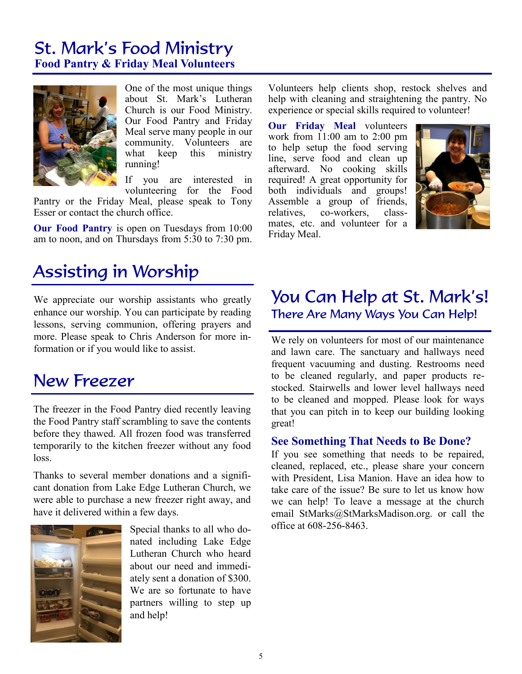# St. Mark's Food Ministry

**Food Pantry & Friday Meal Volunteers**



One of the most unique things about St. Mark's Lutheran Church is our Food Ministry. Our Food Pantry and Friday Meal serve many people in our community. Volunteers are what keep this ministry running!

If you are interested in volunteering for the Food

Pantry or the Friday Meal, please speak to Tony Esser or contact the church office.

**Our Food Pantry** is open on Tuesdays from 10:00 am to noon, and on Thursdays from 5:30 to 7:30 pm.

### Assisting in Worship

We appreciate our worship assistants who greatly enhance our worship. You can participate by reading lessons, serving communion, offering prayers and more. Please speak to Chris Anderson for more information or if you would like to assist.

### New Freezer

The freezer in the Food Pantry died recently leaving the Food Pantry staff scrambling to save the contents before they thawed. All frozen food was transferred temporarily to the kitchen freezer without any food loss.

Thanks to several member donations and a significant donation from Lake Edge Lutheran Church, we were able to purchase a new freezer right away, and have it delivered within a few days.



Special thanks to all who donated including Lake Edge Lutheran Church who heard about our need and immediately sent a donation of \$300. We are so fortunate to have partners willing to step up and help!

Volunteers help clients shop, restock shelves and help with cleaning and straightening the pantry. No experience or special skills required to volunteer!

**Our Friday Meal** volunteers work from 11:00 am to 2:00 pm to help setup the food serving line, serve food and clean up afterward. No cooking skills required! A great opportunity for both individuals and groups! Assemble a group of friends, relatives, co-workers, classmates, etc. and volunteer for a Friday Meal.



### You Can Help at St. Mark's! There Are Many Ways You Can Help!

We rely on volunteers for most of our maintenance and lawn care. The sanctuary and hallways need frequent vacuuming and dusting. Restrooms need to be cleaned regularly, and paper products restocked. Stairwells and lower level hallways need to be cleaned and mopped. Please look for ways that you can pitch in to keep our building looking great!

#### **See Something That Needs to Be Done?**

If you see something that needs to be repaired, cleaned, replaced, etc., please share your concern with President, Lisa Manion. Have an idea how to take care of the issue? Be sure to let us know how we can help! To leave a message at the church email StMarks@StMarksMadison.org. or call the office at 608-256-8463.